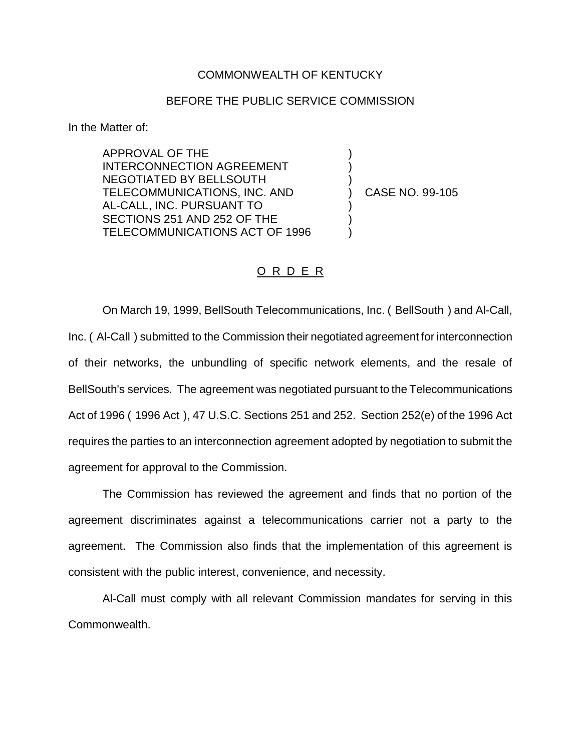## COMMONWEALTH OF KENTUCKY

## BEFORE THE PUBLIC SERVICE COMMISSION

In the Matter of:

APPROVAL OF THE INTERCONNECTION AGREEMENT NEGOTIATED BY BELLSOUTH TELECOMMUNICATIONS, INC. AND AL-CALL, INC. PURSUANT TO SECTIONS 251 AND 252 OF THE TELECOMMUNICATIONS ACT OF 1996

) CASE NO. 99-105

) ) )

) ) )

## O R D E R

On March 19, 1999, BellSouth Telecommunications, Inc. ( BellSouth ) and Al-Call, Inc. ( Al-Call ) submitted to the Commission their negotiated agreement for interconnection of their networks, the unbundling of specific network elements, and the resale of BellSouth's services. The agreement was negotiated pursuant to the Telecommunications Act of 1996 ( 1996 Act ), 47 U.S.C. Sections 251 and 252. Section 252(e) of the 1996 Act requires the parties to an interconnection agreement adopted by negotiation to submit the agreement for approval to the Commission.

The Commission has reviewed the agreement and finds that no portion of the agreement discriminates against a telecommunications carrier not a party to the agreement. The Commission also finds that the implementation of this agreement is consistent with the public interest, convenience, and necessity.

Al-Call must comply with all relevant Commission mandates for serving in this Commonwealth.